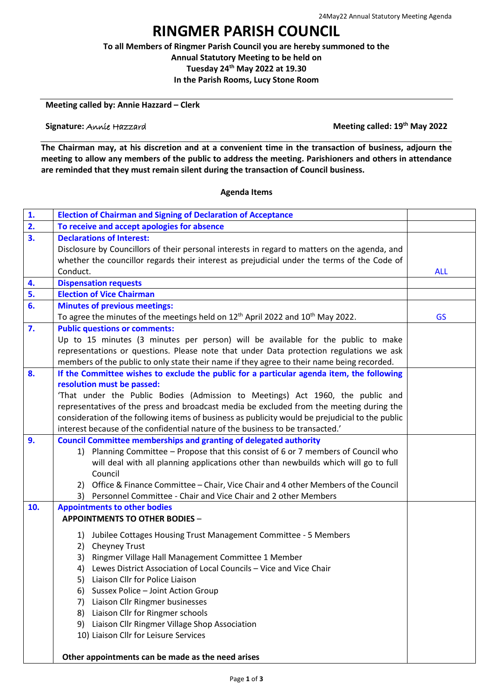## **RINGMER PARISH COUNCIL**

**To all Members of Ringmer Parish Council you are hereby summoned to the Annual Statutory Meeting to be held on Tuesday 24th May 2022 at 19.30**

**In the Parish Rooms, Lucy Stone Room**

**Meeting called by: Annie Hazzard – Clerk**

## **Signature:** Annie Hazzard

**Meeting called: 19<sup>th</sup> May 2022** 

**The Chairman may, at his discretion and at a convenient time in the transaction of business, adjourn the meeting to allow any members of the public to address the meeting. Parishioners and others in attendance are reminded that they must remain silent during the transaction of Council business.**

## **Agenda Items**

| 1.  | <b>Election of Chairman and Signing of Declaration of Acceptance</b>                                    |            |
|-----|---------------------------------------------------------------------------------------------------------|------------|
| 2.  | To receive and accept apologies for absence                                                             |            |
| 3.  | <b>Declarations of Interest:</b>                                                                        |            |
|     | Disclosure by Councillors of their personal interests in regard to matters on the agenda, and           |            |
|     | whether the councillor regards their interest as prejudicial under the terms of the Code of             |            |
|     | Conduct.                                                                                                | <b>ALL</b> |
| 4.  | <b>Dispensation requests</b>                                                                            |            |
| 5.  | <b>Election of Vice Chairman</b>                                                                        |            |
| 6.  | <b>Minutes of previous meetings:</b>                                                                    |            |
|     | To agree the minutes of the meetings held on 12 <sup>th</sup> April 2022 and 10 <sup>th</sup> May 2022. | <b>GS</b>  |
| 7.  | <b>Public questions or comments:</b>                                                                    |            |
|     | Up to 15 minutes (3 minutes per person) will be available for the public to make                        |            |
|     | representations or questions. Please note that under Data protection regulations we ask                 |            |
|     | members of the public to only state their name if they agree to their name being recorded.              |            |
| 8.  | If the Committee wishes to exclude the public for a particular agenda item, the following               |            |
|     | resolution must be passed:                                                                              |            |
|     | 'That under the Public Bodies (Admission to Meetings) Act 1960, the public and                          |            |
|     | representatives of the press and broadcast media be excluded from the meeting during the                |            |
|     | consideration of the following items of business as publicity would be prejudicial to the public        |            |
|     | interest because of the confidential nature of the business to be transacted.'                          |            |
| 9.  | <b>Council Committee memberships and granting of delegated authority</b>                                |            |
|     | 1) Planning Committee - Propose that this consist of 6 or 7 members of Council who                      |            |
|     | will deal with all planning applications other than newbuilds which will go to full                     |            |
|     | Council                                                                                                 |            |
|     | 2) Office & Finance Committee - Chair, Vice Chair and 4 other Members of the Council                    |            |
|     | 3) Personnel Committee - Chair and Vice Chair and 2 other Members                                       |            |
| 10. | <b>Appointments to other bodies</b>                                                                     |            |
|     | <b>APPOINTMENTS TO OTHER BODIES -</b>                                                                   |            |
|     | 1) Jubilee Cottages Housing Trust Management Committee - 5 Members                                      |            |
|     | 2) Cheyney Trust                                                                                        |            |
|     | 3) Ringmer Village Hall Management Committee 1 Member                                                   |            |
|     | Lewes District Association of Local Councils - Vice and Vice Chair<br>4)                                |            |
|     | 5) Liaison Cllr for Police Liaison                                                                      |            |
|     | 6) Sussex Police - Joint Action Group                                                                   |            |
|     | Liaison Cllr Ringmer businesses<br>7)                                                                   |            |
|     | 8) Liaison Cllr for Ringmer schools                                                                     |            |
|     | 9) Liaison Cllr Ringmer Village Shop Association                                                        |            |
|     | 10) Liaison Cllr for Leisure Services                                                                   |            |
|     |                                                                                                         |            |
|     | Other appointments can be made as the need arises                                                       |            |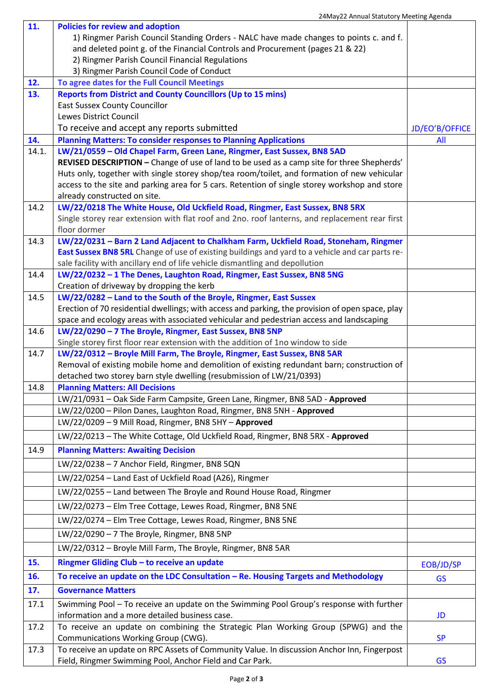|            | 2-may 22 Annual Statutory inceting Agenua                                                                                                                    |                |
|------------|--------------------------------------------------------------------------------------------------------------------------------------------------------------|----------------|
| 11.        | <b>Policies for review and adoption</b><br>1) Ringmer Parish Council Standing Orders - NALC have made changes to points c. and f.                            |                |
|            | and deleted point g. of the Financial Controls and Procurement (pages 21 & 22)                                                                               |                |
|            | 2) Ringmer Parish Council Financial Regulations                                                                                                              |                |
|            | 3) Ringmer Parish Council Code of Conduct                                                                                                                    |                |
| 12.<br>13. | To agree dates for the Full Council Meetings<br><b>Reports from District and County Councillors (Up to 15 mins)</b>                                          |                |
|            | <b>East Sussex County Councillor</b>                                                                                                                         |                |
|            | Lewes District Council                                                                                                                                       |                |
|            | To receive and accept any reports submitted                                                                                                                  | JD/EO'B/OFFICE |
| 14.        | <b>Planning Matters: To consider responses to Planning Applications</b>                                                                                      | All            |
| 14.1.      | LW/21/0559 - Old Chapel Farm, Green Lane, Ringmer, East Sussex, BN8 5AD                                                                                      |                |
|            | REVISED DESCRIPTION - Change of use of land to be used as a camp site for three Shepherds'                                                                   |                |
|            | Huts only, together with single storey shop/tea room/toilet, and formation of new vehicular                                                                  |                |
|            | access to the site and parking area for 5 cars. Retention of single storey workshop and store                                                                |                |
|            | already constructed on site.                                                                                                                                 |                |
| 14.2       | LW/22/0218 The White House, Old Uckfield Road, Ringmer, East Sussex, BN8 5RX                                                                                 |                |
|            | Single storey rear extension with flat roof and 2no. roof lanterns, and replacement rear first<br>floor dormer                                               |                |
| 14.3       | LW/22/0231 - Barn 2 Land Adjacent to Chalkham Farm, Uckfield Road, Stoneham, Ringmer                                                                         |                |
|            | East Sussex BN8 5RL Change of use of existing buildings and yard to a vehicle and car parts re-                                                              |                |
|            | sale facility with ancillary end of life vehicle dismantling and depollution                                                                                 |                |
| 14.4       | LW/22/0232 - 1 The Denes, Laughton Road, Ringmer, East Sussex, BN8 5NG                                                                                       |                |
|            | Creation of driveway by dropping the kerb                                                                                                                    |                |
| 14.5       | LW/22/0282 - Land to the South of the Broyle, Ringmer, East Sussex                                                                                           |                |
|            | Erection of 70 residential dwellings; with access and parking, the provision of open space, play                                                             |                |
|            | space and ecology areas with associated vehicular and pedestrian access and landscaping                                                                      |                |
| 14.6       | LW/22/0290 - 7 The Broyle, Ringmer, East Sussex, BN8 5NP                                                                                                     |                |
| 14.7       | Single storey first floor rear extension with the addition of 1no window to side<br>LW/22/0312 - Broyle Mill Farm, The Broyle, Ringmer, East Sussex, BN8 5AR |                |
|            | Removal of existing mobile home and demolition of existing redundant barn; construction of                                                                   |                |
|            | detached two storey barn style dwelling (resubmission of LW/21/0393)                                                                                         |                |
| 14.8       | <b>Planning Matters: All Decisions</b>                                                                                                                       |                |
|            | LW/21/0931 - Oak Side Farm Campsite, Green Lane, Ringmer, BN8 5AD - Approved                                                                                 |                |
|            | LW/22/0200 - Pilon Danes, Laughton Road, Ringmer, BN8 5NH - Approved                                                                                         |                |
|            | LW/22/0209 - 9 Mill Road, Ringmer, BN8 5HY - Approved                                                                                                        |                |
|            | LW/22/0213 - The White Cottage, Old Uckfield Road, Ringmer, BN8 5RX - Approved                                                                               |                |
| 14.9       | <b>Planning Matters: Awaiting Decision</b>                                                                                                                   |                |
|            | LW/22/0238 - 7 Anchor Field, Ringmer, BN8 5QN                                                                                                                |                |
|            | LW/22/0254 - Land East of Uckfield Road (A26), Ringmer                                                                                                       |                |
|            | LW/22/0255 - Land between The Broyle and Round House Road, Ringmer                                                                                           |                |
|            | LW/22/0273 - Elm Tree Cottage, Lewes Road, Ringmer, BN8 5NE                                                                                                  |                |
|            | LW/22/0274 - Elm Tree Cottage, Lewes Road, Ringmer, BN8 5NE                                                                                                  |                |
|            | LW/22/0290 - 7 The Broyle, Ringmer, BN8 5NP                                                                                                                  |                |
|            | LW/22/0312 - Broyle Mill Farm, The Broyle, Ringmer, BN8 5AR                                                                                                  |                |
| 15.        | Ringmer Gliding Club - to receive an update                                                                                                                  | EOB/JD/SP      |
| 16.        | To receive an update on the LDC Consultation - Re. Housing Targets and Methodology                                                                           | <b>GS</b>      |
| 17.        | <b>Governance Matters</b>                                                                                                                                    |                |
| 17.1       | Swimming Pool - To receive an update on the Swimming Pool Group's response with further                                                                      |                |
|            | information and a more detailed business case.                                                                                                               | JD             |
| 17.2       | To receive an update on combining the Strategic Plan Working Group (SPWG) and the                                                                            |                |
| 17.3       | Communications Working Group (CWG).<br>To receive an update on RPC Assets of Community Value. In discussion Anchor Inn, Fingerpost                           | <b>SP</b>      |
|            | Field, Ringmer Swimming Pool, Anchor Field and Car Park.                                                                                                     | <b>GS</b>      |
|            |                                                                                                                                                              |                |